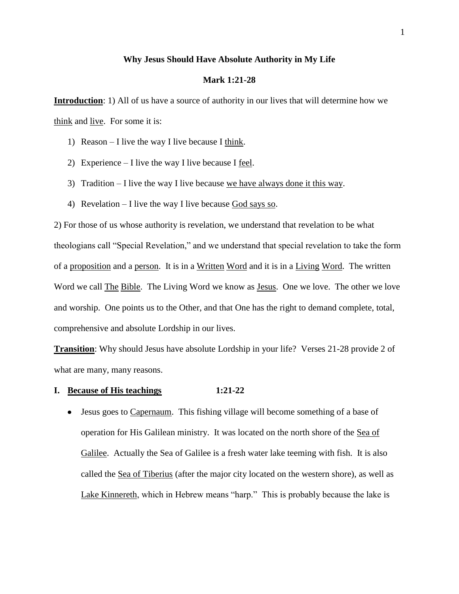### **Why Jesus Should Have Absolute Authority in My Life**

### **Mark 1:21-28**

**Introduction**: 1) All of us have a source of authority in our lives that will determine how we think and live. For some it is:

- 1) Reason I live the way I live because I think.
- 2) Experience I live the way I live because I feel.
- 3) Tradition I live the way I live because we have always done it this way.
- 4) Revelation I live the way I live because God says so.

2) For those of us whose authority is revelation, we understand that revelation to be what theologians call "Special Revelation," and we understand that special revelation to take the form of a proposition and a person. It is in a Written Word and it is in a Living Word. The written Word we call The Bible. The Living Word we know as Jesus. One we love. The other we love and worship. One points us to the Other, and that One has the right to demand complete, total, comprehensive and absolute Lordship in our lives.

**Transition**: Why should Jesus have absolute Lordship in your life? Verses 21-28 provide 2 of what are many, many reasons.

### **I. Because of His teachings 1:21-22**

• Jesus goes to Capernaum. This fishing village will become something of a base of operation for His Galilean ministry. It was located on the north shore of the Sea of Galilee. Actually the Sea of Galilee is a fresh water lake teeming with fish. It is also called the Sea of Tiberius (after the major city located on the western shore), as well as Lake Kinnereth, which in Hebrew means "harp." This is probably because the lake is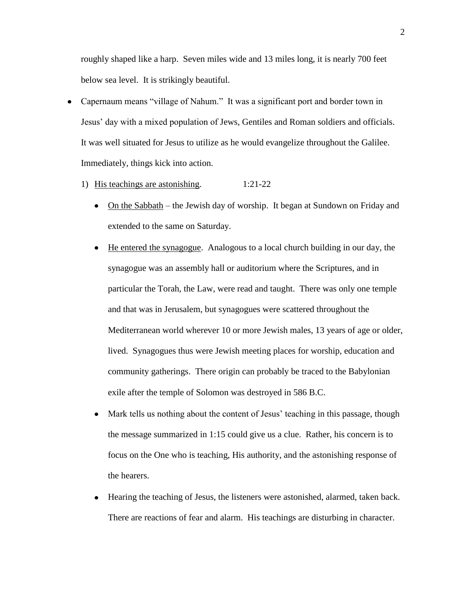roughly shaped like a harp. Seven miles wide and 13 miles long, it is nearly 700 feet below sea level. It is strikingly beautiful.

- Capernaum means "village of Nahum." It was a significant port and border town in Jesus' day with a mixed population of Jews, Gentiles and Roman soldiers and officials. It was well situated for Jesus to utilize as he would evangelize throughout the Galilee. Immediately, things kick into action.
	- 1) His teachings are astonishing. 1:21-22
		- On the Sabbath the Jewish day of worship. It began at Sundown on Friday and extended to the same on Saturday.
		- He entered the synagogue. Analogous to a local church building in our day, the  $\bullet$ synagogue was an assembly hall or auditorium where the Scriptures, and in particular the Torah, the Law, were read and taught. There was only one temple and that was in Jerusalem, but synagogues were scattered throughout the Mediterranean world wherever 10 or more Jewish males, 13 years of age or older, lived. Synagogues thus were Jewish meeting places for worship, education and community gatherings. There origin can probably be traced to the Babylonian exile after the temple of Solomon was destroyed in 586 B.C.
		- Mark tells us nothing about the content of Jesus' teaching in this passage, though  $\bullet$ the message summarized in 1:15 could give us a clue. Rather, his concern is to focus on the One who is teaching, His authority, and the astonishing response of the hearers.
		- Hearing the teaching of Jesus, the listeners were astonished, alarmed, taken back. There are reactions of fear and alarm. His teachings are disturbing in character.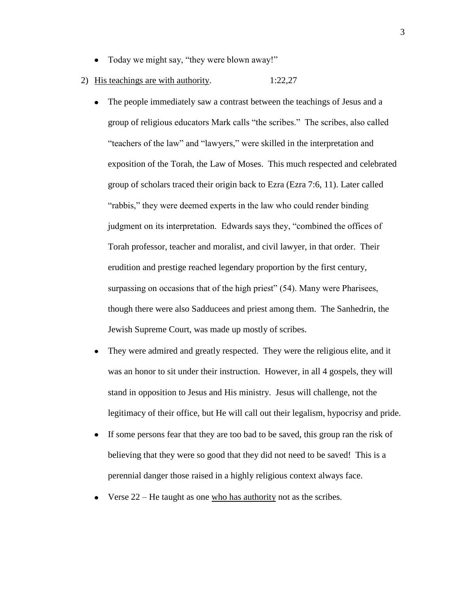- Today we might say, "they were blown away!"  $\bullet$
- 2) His teachings are with authority. 1:22,27
	- The people immediately saw a contrast between the teachings of Jesus and a  $\bullet$ group of religious educators Mark calls "the scribes." The scribes, also called "teachers of the law" and "lawyers," were skilled in the interpretation and exposition of the Torah, the Law of Moses. This much respected and celebrated group of scholars traced their origin back to Ezra (Ezra 7:6, 11). Later called "rabbis," they were deemed experts in the law who could render binding judgment on its interpretation. Edwards says they, "combined the offices of Torah professor, teacher and moralist, and civil lawyer, in that order. Their erudition and prestige reached legendary proportion by the first century, surpassing on occasions that of the high priest" (54). Many were Pharisees, though there were also Sadducees and priest among them. The Sanhedrin, the Jewish Supreme Court, was made up mostly of scribes.
	- They were admired and greatly respected. They were the religious elite, and it was an honor to sit under their instruction. However, in all 4 gospels, they will stand in opposition to Jesus and His ministry. Jesus will challenge, not the legitimacy of their office, but He will call out their legalism, hypocrisy and pride.
	- If some persons fear that they are too bad to be saved, this group ran the risk of believing that they were so good that they did not need to be saved! This is a perennial danger those raised in a highly religious context always face.
	- Verse 22 He taught as one who has authority not as the scribes.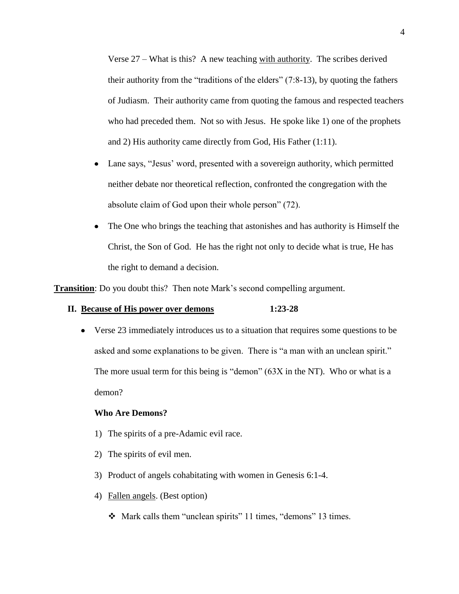Verse 27 – What is this? A new teaching with authority. The scribes derived their authority from the "traditions of the elders" (7:8-13), by quoting the fathers of Judiasm. Their authority came from quoting the famous and respected teachers who had preceded them. Not so with Jesus. He spoke like 1) one of the prophets and 2) His authority came directly from God, His Father (1:11).

- Lane says, "Jesus' word, presented with a sovereign authority, which permitted  $\bullet$ neither debate nor theoretical reflection, confronted the congregation with the absolute claim of God upon their whole person" (72).
- $\bullet$ The One who brings the teaching that astonishes and has authority is Himself the Christ, the Son of God. He has the right not only to decide what is true, He has the right to demand a decision.

**Transition**: Do you doubt this? Then note Mark's second compelling argument.

## **II. Because of His power over demons 1:23-28**

Verse 23 immediately introduces us to a situation that requires some questions to be asked and some explanations to be given. There is "a man with an unclean spirit." The more usual term for this being is "demon" (63X in the NT). Who or what is a demon?

# **Who Are Demons?**

- 1) The spirits of a pre-Adamic evil race.
- 2) The spirits of evil men.
- 3) Product of angels cohabitating with women in Genesis 6:1-4.
- 4) Fallen angels. (Best option)
	- Mark calls them "unclean spirits" 11 times, "demons" 13 times.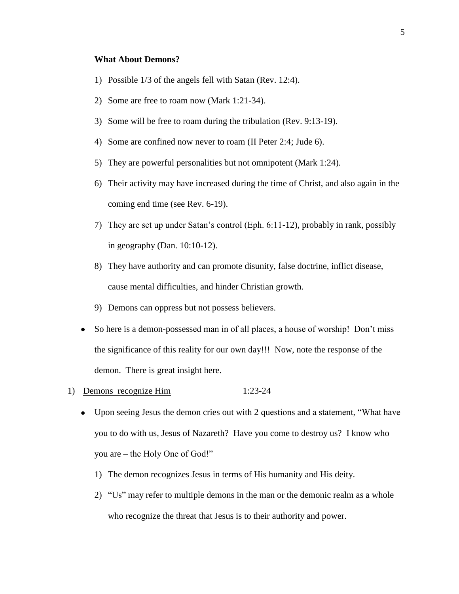### **What About Demons?**

- 1) Possible 1/3 of the angels fell with Satan (Rev. 12:4).
- 2) Some are free to roam now (Mark 1:21-34).
- 3) Some will be free to roam during the tribulation (Rev. 9:13-19).
- 4) Some are confined now never to roam (II Peter 2:4; Jude 6).
- 5) They are powerful personalities but not omnipotent (Mark 1:24).
- 6) Their activity may have increased during the time of Christ, and also again in the coming end time (see Rev. 6-19).
- 7) They are set up under Satan's control (Eph. 6:11-12), probably in rank, possibly in geography (Dan. 10:10-12).
- 8) They have authority and can promote disunity, false doctrine, inflict disease, cause mental difficulties, and hinder Christian growth.
- 9) Demons can oppress but not possess believers.
- So here is a demon-possessed man in of all places, a house of worship! Don't miss the significance of this reality for our own day!!! Now, note the response of the demon. There is great insight here.
- 1) Demons recognize Him 1:23-24
	- Upon seeing Jesus the demon cries out with 2 questions and a statement, "What have you to do with us, Jesus of Nazareth? Have you come to destroy us? I know who you are – the Holy One of God!"
		- 1) The demon recognizes Jesus in terms of His humanity and His deity.
		- 2) "Us" may refer to multiple demons in the man or the demonic realm as a whole who recognize the threat that Jesus is to their authority and power.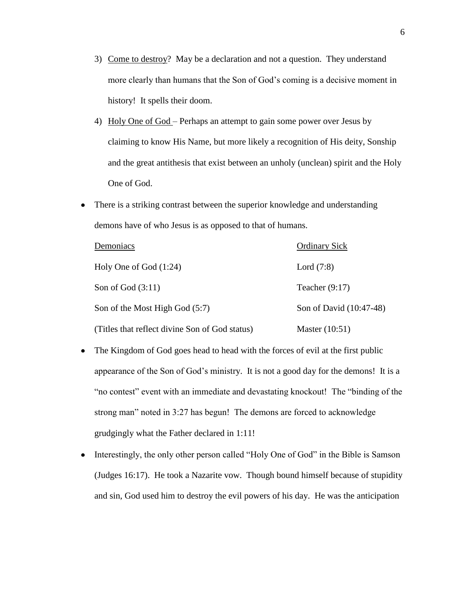- 3) Come to destroy? May be a declaration and not a question. They understand more clearly than humans that the Son of God's coming is a decisive moment in history! It spells their doom.
- 4) Holy One of God Perhaps an attempt to gain some power over Jesus by claiming to know His Name, but more likely a recognition of His deity, Sonship and the great antithesis that exist between an unholy (unclean) spirit and the Holy One of God.
- There is a striking contrast between the superior knowledge and understanding  $\bullet$ demons have of who Jesus is as opposed to that of humans.

| Demoniacs                                      | <b>Ordinary Sick</b>    |
|------------------------------------------------|-------------------------|
| Holy One of God $(1:24)$                       | Lord $(7:8)$            |
| Son of God $(3:11)$                            | Teacher $(9:17)$        |
| Son of the Most High God (5:7)                 | Son of David (10:47-48) |
| (Titles that reflect divine Son of God status) | Master $(10:51)$        |

- The Kingdom of God goes head to head with the forces of evil at the first public  $\bullet$ appearance of the Son of God's ministry. It is not a good day for the demons! It is a "no contest" event with an immediate and devastating knockout! The "binding of the strong man" noted in 3:27 has begun! The demons are forced to acknowledge grudgingly what the Father declared in 1:11!
- Interestingly, the only other person called "Holy One of God" in the Bible is Samson  $\bullet$ (Judges 16:17). He took a Nazarite vow. Though bound himself because of stupidity and sin, God used him to destroy the evil powers of his day. He was the anticipation